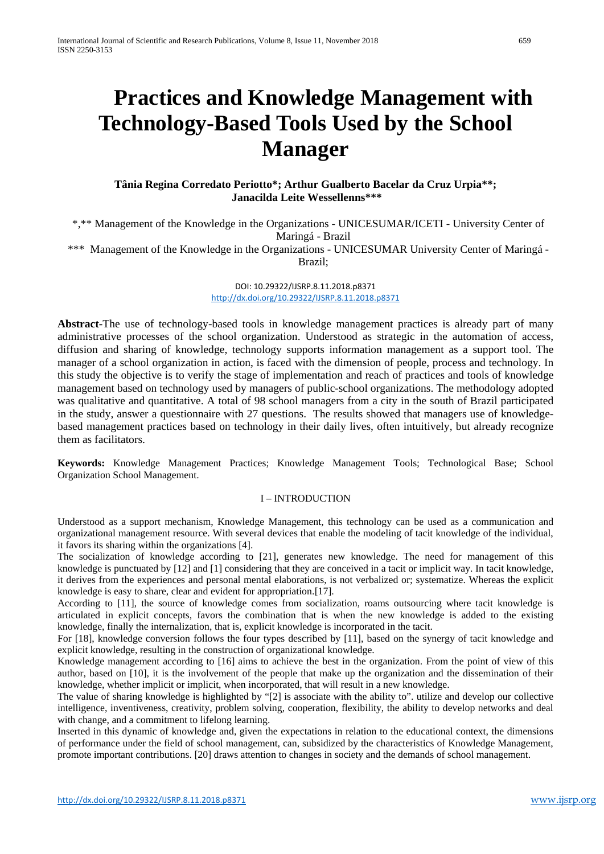# **Practices and Knowledge Management with Technology-Based Tools Used by the School Manager**

# **Tânia Regina Corredato Periotto\*; Arthur Gualberto Bacelar da Cruz Urpia\*\*; Janacilda Leite Wessellenns\*\*\***

\*,\*\* Management of the Knowledge in the Organizations - UNICESUMAR/ICETI - University Center of Maringá - Brazil \*\*\* Management of the Knowledge in the Organizations - UNICESUMAR University Center of Maringá - Brazil;

> DOI: 10.29322/IJSRP.8.11.2018.p8371 <http://dx.doi.org/10.29322/IJSRP.8.11.2018.p8371>

**Abstract-**The use of technology-based tools in knowledge management practices is already part of many administrative processes of the school organization. Understood as strategic in the automation of access, diffusion and sharing of knowledge, technology supports information management as a support tool. The manager of a school organization in action, is faced with the dimension of people, process and technology. In this study the objective is to verify the stage of implementation and reach of practices and tools of knowledge management based on technology used by managers of public-school organizations. The methodology adopted was qualitative and quantitative. A total of 98 school managers from a city in the south of Brazil participated in the study, answer a questionnaire with 27 questions. The results showed that managers use of knowledgebased management practices based on technology in their daily lives, often intuitively, but already recognize them as facilitators.

**Keywords:** Knowledge Management Practices; Knowledge Management Tools; Technological Base; School Organization School Management.

## I – INTRODUCTION

Understood as a support mechanism, Knowledge Management, this technology can be used as a communication and organizational management resource. With several devices that enable the modeling of tacit knowledge of the individual, it favors its sharing within the organizations [4].

The socialization of knowledge according to [21], generates new knowledge. The need for management of this knowledge is punctuated by [12] and [1] considering that they are conceived in a tacit or implicit way. In tacit knowledge, it derives from the experiences and personal mental elaborations, is not verbalized or; systematize. Whereas the explicit knowledge is easy to share, clear and evident for appropriation.[17].

According to [11], the source of knowledge comes from socialization, roams outsourcing where tacit knowledge is articulated in explicit concepts, favors the combination that is when the new knowledge is added to the existing knowledge, finally the internalization, that is, explicit knowledge is incorporated in the tacit.

For [18], knowledge conversion follows the four types described by [11], based on the synergy of tacit knowledge and explicit knowledge, resulting in the construction of organizational knowledge.

Knowledge management according to [16] aims to achieve the best in the organization. From the point of view of this author, based on [10], it is the involvement of the people that make up the organization and the dissemination of their knowledge, whether implicit or implicit, when incorporated, that will result in a new knowledge.

The value of sharing knowledge is highlighted by "[2] is associate with the ability to". utilize and develop our collective intelligence, inventiveness, creativity, problem solving, cooperation, flexibility, the ability to develop networks and deal with change, and a commitment to lifelong learning.

Inserted in this dynamic of knowledge and, given the expectations in relation to the educational context, the dimensions of performance under the field of school management, can, subsidized by the characteristics of Knowledge Management, promote important contributions. [20] draws attention to changes in society and the demands of school management.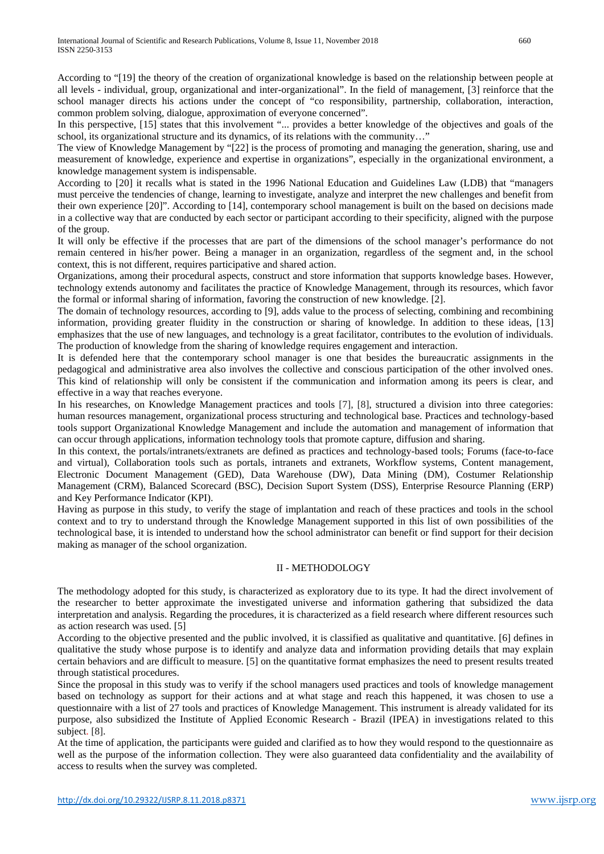According to "[19] the theory of the creation of organizational knowledge is based on the relationship between people at all levels - individual, group, organizational and inter-organizational". In the field of management, [3] reinforce that the school manager directs his actions under the concept of "co responsibility, partnership, collaboration, interaction, common problem solving, dialogue, approximation of everyone concerned".

In this perspective, [15] states that this involvement "... provides a better knowledge of the objectives and goals of the school, its organizational structure and its dynamics, of its relations with the community…"

The view of Knowledge Management by "[22] is the process of promoting and managing the generation, sharing, use and measurement of knowledge, experience and expertise in organizations", especially in the organizational environment, a knowledge management system is indispensable.

According to [20] it recalls what is stated in the 1996 National Education and Guidelines Law (LDB) that "managers must perceive the tendencies of change, learning to investigate, analyze and interpret the new challenges and benefit from their own experience [20]". According to [14], contemporary school management is built on the based on decisions made in a collective way that are conducted by each sector or participant according to their specificity, aligned with the purpose of the group.

It will only be effective if the processes that are part of the dimensions of the school manager's performance do not remain centered in his/her power. Being a manager in an organization, regardless of the segment and, in the school context, this is not different, requires participative and shared action.

Organizations, among their procedural aspects, construct and store information that supports knowledge bases. However, technology extends autonomy and facilitates the practice of Knowledge Management, through its resources, which favor the formal or informal sharing of information, favoring the construction of new knowledge. [2].

The domain of technology resources, according to [9], adds value to the process of selecting, combining and recombining information, providing greater fluidity in the construction or sharing of knowledge. In addition to these ideas, [13] emphasizes that the use of new languages, and technology is a great facilitator, contributes to the evolution of individuals. The production of knowledge from the sharing of knowledge requires engagement and interaction.

It is defended here that the contemporary school manager is one that besides the bureaucratic assignments in the pedagogical and administrative area also involves the collective and conscious participation of the other involved ones. This kind of relationship will only be consistent if the communication and information among its peers is clear, and effective in a way that reaches everyone.

In his researches, on Knowledge Management practices and tools [7], [8], structured a division into three categories: human resources management, organizational process structuring and technological base. Practices and technology-based tools support Organizational Knowledge Management and include the automation and management of information that can occur through applications, information technology tools that promote capture, diffusion and sharing.

In this context, the portals/intranets/extranets are defined as practices and technology-based tools; Forums (face-to-face and virtual), Collaboration tools such as portals, intranets and extranets, Workflow systems, Content management, Electronic Document Management (GED), Data Warehouse (DW), Data Mining (DM), Costumer Relationship Management (CRM), Balanced Scorecard (BSC), Decision Suport System (DSS), Enterprise Resource Planning (ERP) and Key Performance Indicator (KPI).

Having as purpose in this study, to verify the stage of implantation and reach of these practices and tools in the school context and to try to understand through the Knowledge Management supported in this list of own possibilities of the technological base, it is intended to understand how the school administrator can benefit or find support for their decision making as manager of the school organization.

## II - METHODOLOGY

The methodology adopted for this study, is characterized as exploratory due to its type. It had the direct involvement of the researcher to better approximate the investigated universe and information gathering that subsidized the data interpretation and analysis. Regarding the procedures, it is characterized as a field research where different resources such as action research was used. [5]

According to the objective presented and the public involved, it is classified as qualitative and quantitative. [6] defines in qualitative the study whose purpose is to identify and analyze data and information providing details that may explain certain behaviors and are difficult to measure. [5] on the quantitative format emphasizes the need to present results treated through statistical procedures.

Since the proposal in this study was to verify if the school managers used practices and tools of knowledge management based on technology as support for their actions and at what stage and reach this happened, it was chosen to use a questionnaire with a list of 27 tools and practices of Knowledge Management. This instrument is already validated for its purpose, also subsidized the Institute of Applied Economic Research - Brazil (IPEA) in investigations related to this subject. [8].

At the time of application, the participants were guided and clarified as to how they would respond to the questionnaire as well as the purpose of the information collection. They were also guaranteed data confidentiality and the availability of access to results when the survey was completed.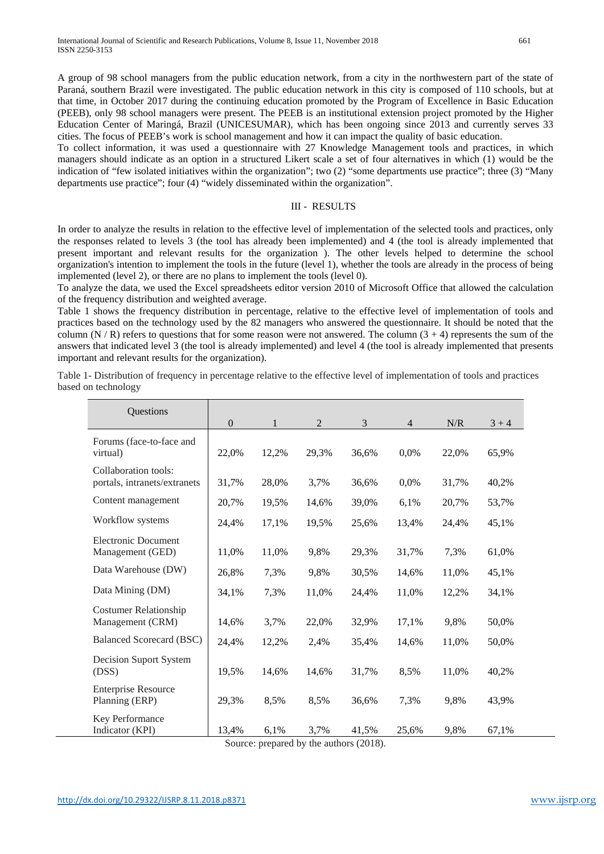A group of 98 school managers from the public education network, from a city in the northwestern part of the state of Paraná, southern Brazil were investigated. The public education network in this city is composed of 110 schools, but at that time, in October 2017 during the continuing education promoted by the Program of Excellence in Basic Education (PEEB), only 98 school managers were present. The PEEB is an institutional extension project promoted by the Higher Education Center of Maringá, Brazil (UNICESUMAR), which has been ongoing since 2013 and currently serves 33 cities. The focus of PEEB's work is school management and how it can impact the quality of basic education.

To collect information, it was used a questionnaire with 27 Knowledge Management tools and practices, in which managers should indicate as an option in a structured Likert scale a set of four alternatives in which (1) would be the indication of "few isolated initiatives within the organization"; two (2) "some departments use practice"; three (3) "Many departments use practice"; four (4) "widely disseminated within the organization".

#### III - RESULTS

In order to analyze the results in relation to the effective level of implementation of the selected tools and practices, only the responses related to levels 3 (the tool has already been implemented) and 4 (the tool is already implemented that present important and relevant results for the organization ). The other levels helped to determine the school organization's intention to implement the tools in the future (level 1), whether the tools are already in the process of being implemented (level 2), or there are no plans to implement the tools (level 0).

To analyze the data, we used the Excel spreadsheets editor version 2010 of Microsoft Office that allowed the calculation of the frequency distribution and weighted average.

Table 1 shows the frequency distribution in percentage, relative to the effective level of implementation of tools and practices based on the technology used by the 82 managers who answered the questionnaire. It should be noted that the column  $(N/R)$  refers to questions that for some reason were not answered. The column  $(3 + 4)$  represents the sum of the answers that indicated level 3 (the tool is already implemented) and level 4 (the tool is already implemented that presents important and relevant results for the organization).

| Questions                                            |          |       |                |       |                |       |         |
|------------------------------------------------------|----------|-------|----------------|-------|----------------|-------|---------|
|                                                      | $\Omega$ | 1     | $\overline{2}$ | 3     | $\overline{4}$ | N/R   | $3 + 4$ |
| Forums (face-to-face and<br>virtual)                 | 22,0%    | 12,2% | 29,3%          | 36,6% | 0,0%           | 22,0% | 65,9%   |
| Collaboration tools:<br>portals, intranets/extranets | 31,7%    | 28,0% | 3,7%           | 36,6% | 0,0%           | 31,7% | 40,2%   |
| Content management                                   | 20,7%    | 19,5% | 14,6%          | 39,0% | 6,1%           | 20,7% | 53,7%   |
| Workflow systems                                     | 24,4%    | 17,1% | 19,5%          | 25,6% | 13,4%          | 24,4% | 45,1%   |
| <b>Electronic Document</b><br>Management (GED)       | 11,0%    | 11,0% | 9,8%           | 29,3% | 31,7%          | 7,3%  | 61,0%   |
| Data Warehouse (DW)                                  | 26,8%    | 7,3%  | 9,8%           | 30,5% | 14,6%          | 11,0% | 45,1%   |
| Data Mining (DM)                                     | 34,1%    | 7,3%  | 11,0%          | 24,4% | 11,0%          | 12,2% | 34,1%   |
| <b>Costumer Relationship</b><br>Management (CRM)     | 14,6%    | 3,7%  | 22,0%          | 32,9% | 17,1%          | 9,8%  | 50,0%   |
| <b>Balanced Scorecard (BSC)</b>                      | 24,4%    | 12,2% | 2,4%           | 35,4% | 14,6%          | 11,0% | 50,0%   |
| Decision Suport System<br>(DSS)                      | 19,5%    | 14,6% | 14,6%          | 31,7% | 8,5%           | 11,0% | 40,2%   |
| <b>Enterprise Resource</b><br>Planning (ERP)         | 29,3%    | 8,5%  | 8,5%           | 36,6% | 7,3%           | 9,8%  | 43,9%   |
| Key Performance<br>Indicator (KPI)                   | 13,4%    | 6,1%  | 3,7%           | 41,5% | 25,6%          | 9,8%  | 67,1%   |

Table 1- Distribution of frequency in percentage relative to the effective level of implementation of tools and practices based on technology

Source: prepared by the authors (2018).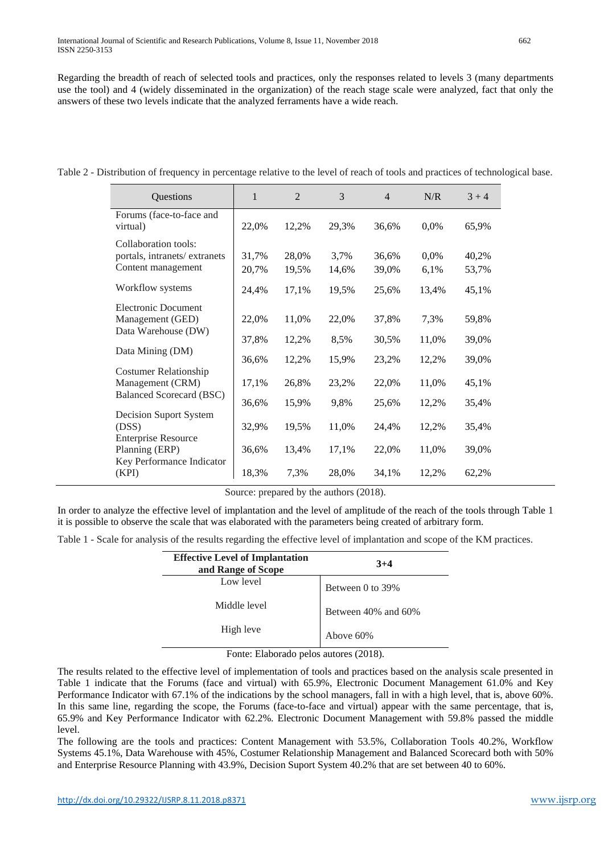Regarding the breadth of reach of selected tools and practices, only the responses related to levels 3 (many departments use the tool) and 4 (widely disseminated in the organization) of the reach stage scale were analyzed, fact that only the answers of these two levels indicate that the analyzed ferraments have a wide reach.

| Questions                                                                  | 1              | $\overline{2}$ | 3             | $\overline{4}$ | N/R          | $3 + 4$        |
|----------------------------------------------------------------------------|----------------|----------------|---------------|----------------|--------------|----------------|
| Forums (face-to-face and<br>virtual)                                       | 22,0%          | 12,2%          | 29,3%         | 36,6%          | 0,0%         | 65,9%          |
| Collaboration tools:<br>portals, intranets/extranets<br>Content management | 31,7%<br>20,7% | 28,0%<br>19,5% | 3,7%<br>14,6% | 36,6%<br>39,0% | 0,0%<br>6,1% | 40,2%<br>53,7% |
| Workflow systems                                                           | 24,4%          | 17,1%          | 19,5%         | 25,6%          | 13,4%        | 45,1%          |
| <b>Electronic Document</b><br>Management (GED)<br>Data Warehouse (DW)      | 22,0%          | 11,0%          | 22,0%         | 37,8%          | 7,3%         | 59,8%          |
| Data Mining (DM)                                                           | 37,8%          | 12,2%          | 8,5%          | 30,5%          | 11,0%        | 39,0%          |
| <b>Costumer Relationship</b>                                               | 36,6%          | 12,2%          | 15,9%         | 23,2%          | 12,2%        | 39,0%          |
| Management (CRM)                                                           | 17,1%          | 26,8%          | 23,2%         | 22,0%          | 11,0%        | 45,1%          |
| <b>Balanced Scorecard (BSC)</b>                                            | 36,6%          | 15,9%          | 9,8%          | 25,6%          | 12,2%        | 35,4%          |
| Decision Suport System<br>(DSS)                                            | 32,9%          | 19,5%          | 11,0%         | 24,4%          | 12,2%        | 35,4%          |
| <b>Enterprise Resource</b><br>Planning (ERP)<br>Key Performance Indicator  | 36,6%          | 13,4%          | 17,1%         | 22,0%          | 11,0%        | 39,0%          |
| (KPI)                                                                      | 18,3%          | 7,3%           | 28,0%         | 34,1%          | 12,2%        | 62,2%          |

Table 2 - Distribution of frequency in percentage relative to the level of reach of tools and practices of technological base.

Source: prepared by the authors (2018).

In order to analyze the effective level of implantation and the level of amplitude of the reach of the tools through Table 1 it is possible to observe the scale that was elaborated with the parameters being created of arbitrary form.

Table 1 - Scale for analysis of the results regarding the effective level of implantation and scope of the KM practices.

| <b>Effective Level of Implantation</b><br>and Range of Scope | $3+4$               |  |  |
|--------------------------------------------------------------|---------------------|--|--|
| Low level                                                    | Between 0 to 39%    |  |  |
| Middle level                                                 | Between 40% and 60% |  |  |
| High leve                                                    | Above 60%           |  |  |

Fonte: Elaborado pelos autores (2018).

The results related to the effective level of implementation of tools and practices based on the analysis scale presented in Table 1 indicate that the Forums (face and virtual) with 65.9%, Electronic Document Management 61.0% and Key Performance Indicator with 67.1% of the indications by the school managers, fall in with a high level, that is, above 60%. In this same line, regarding the scope, the Forums (face-to-face and virtual) appear with the same percentage, that is, 65.9% and Key Performance Indicator with 62.2%. Electronic Document Management with 59.8% passed the middle level.

The following are the tools and practices: Content Management with 53.5%, Collaboration Tools 40.2%, Workflow Systems 45.1%, Data Warehouse with 45%, Costumer Relationship Management and Balanced Scorecard both with 50% and Enterprise Resource Planning with 43.9%, Decision Suport System 40.2% that are set between 40 to 60%.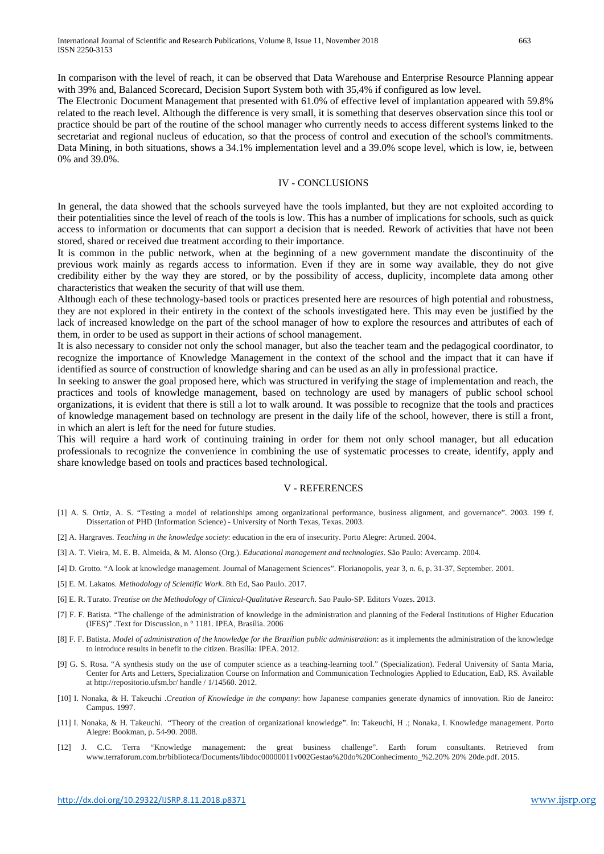In comparison with the level of reach, it can be observed that Data Warehouse and Enterprise Resource Planning appear with 39% and, Balanced Scorecard, Decision Suport System both with 35,4% if configured as low level.

The Electronic Document Management that presented with 61.0% of effective level of implantation appeared with 59.8% related to the reach level. Although the difference is very small, it is something that deserves observation since this tool or practice should be part of the routine of the school manager who currently needs to access different systems linked to the secretariat and regional nucleus of education, so that the process of control and execution of the school's commitments. Data Mining, in both situations, shows a 34.1% implementation level and a 39.0% scope level, which is low, ie, between 0% and 39.0%.

#### IV - CONCLUSIONS

In general, the data showed that the schools surveyed have the tools implanted, but they are not exploited according to their potentialities since the level of reach of the tools is low. This has a number of implications for schools, such as quick access to information or documents that can support a decision that is needed. Rework of activities that have not been stored, shared or received due treatment according to their importance.

It is common in the public network, when at the beginning of a new government mandate the discontinuity of the previous work mainly as regards access to information. Even if they are in some way available, they do not give credibility either by the way they are stored, or by the possibility of access, duplicity, incomplete data among other characteristics that weaken the security of that will use them.

Although each of these technology-based tools or practices presented here are resources of high potential and robustness, they are not explored in their entirety in the context of the schools investigated here. This may even be justified by the lack of increased knowledge on the part of the school manager of how to explore the resources and attributes of each of them, in order to be used as support in their actions of school management.

It is also necessary to consider not only the school manager, but also the teacher team and the pedagogical coordinator, to recognize the importance of Knowledge Management in the context of the school and the impact that it can have if identified as source of construction of knowledge sharing and can be used as an ally in professional practice.

In seeking to answer the goal proposed here, which was structured in verifying the stage of implementation and reach, the practices and tools of knowledge management, based on technology are used by managers of public school school organizations, it is evident that there is still a lot to walk around. It was possible to recognize that the tools and practices of knowledge management based on technology are present in the daily life of the school, however, there is still a front, in which an alert is left for the need for future studies.

This will require a hard work of continuing training in order for them not only school manager, but all education professionals to recognize the convenience in combining the use of systematic processes to create, identify, apply and share knowledge based on tools and practices based technological.

#### V - REFERENCES

- [1] A. S. Ortiz, A. S. "Testing a model of relationships among organizational performance, business alignment, and governance". 2003. 199 f. Dissertation of PHD (Information Science) - University of North Texas, Texas. 2003.
- [2] A. Hargraves. *Teaching in the knowledge society*: education in the era of insecurity. Porto Alegre: Artmed. 2004.
- [3] A. T. Vieira, M. E. B. Almeida, & M. Alonso (Org.). *Educational management and technologies*. São Paulo: Avercamp. 2004.
- [4] D. Grotto. "A look at knowledge management. Journal of Management Sciences". Florianopolis, year 3, n. 6, p. 31-37, September. 2001.
- [5] E. M. Lakatos. *Methodology of Scientific Work*. 8th Ed, Sao Paulo. 2017.
- [6] E. R. Turato. *Treatise on the Methodology of Clinical-Qualitative Research*. Sao Paulo-SP. Editors Vozes. 2013.
- [7] F. F. Batista. "The challenge of the administration of knowledge in the administration and planning of the Federal Institutions of Higher Education (IFES)" .Text for Discussion, n ° 1181. IPEA, Brasília. 2006
- [8] F. F. Batista. *Model of administration of the knowledge for the Brazilian public administration*: as it implements the administration of the knowledge to introduce results in benefit to the citizen. Brasília: IPEA. 2012.
- [9] G. S. Rosa. "A synthesis study on the use of computer science as a teaching-learning tool." (Specialization). Federal University of Santa Maria, Center for Arts and Letters, Specialization Course on Information and Communication Technologies Applied to Education, EaD, RS. Available at http://repositorio.ufsm.br/ handle / 1/14560. 2012.
- [10] I. Nonaka, & H. Takeuchi .*Creation of Knowledge in the company*: how Japanese companies generate dynamics of innovation. Rio de Janeiro: Campus. 1997.
- [11] I. Nonaka, & H. Takeuchi. "Theory of the creation of organizational knowledge". In: Takeuchi, H .; Nonaka, I. Knowledge management. Porto Alegre: Bookman, p. 54-90. 2008.
- [12] J. C.C. Terra "Knowledge management: the great business challenge". Earth forum consultants. Retrieved from www.terraforum.com.br/biblioteca/Documents/libdoc00000011v002Gestao%20do%20Conhecimento\_%2.20% 20% 20de.pdf. 2015.